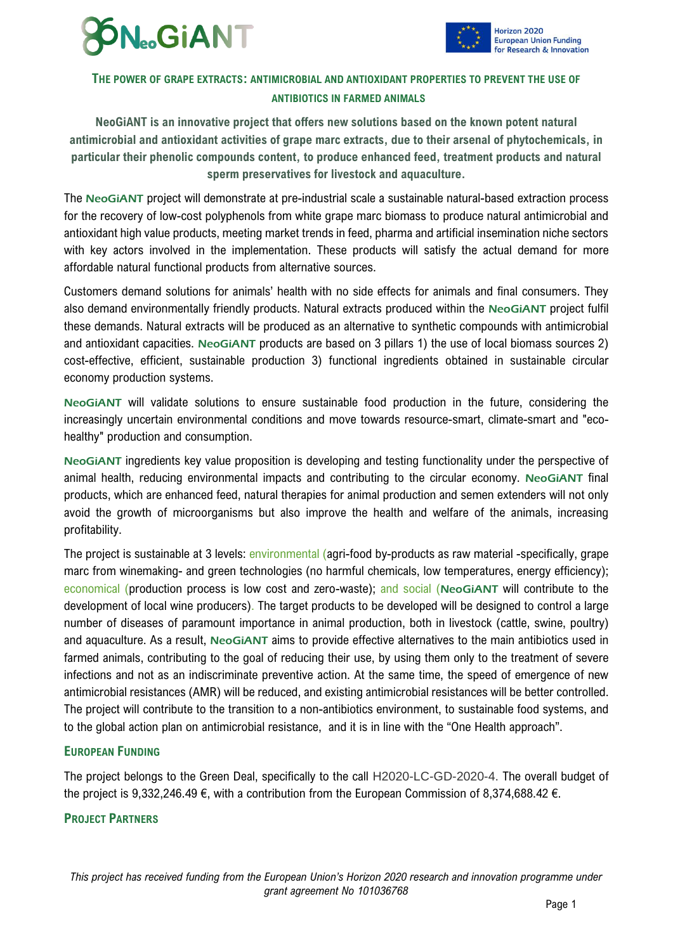



## **THE POWER OF GRAPE EXTRACTS: ANTIMICROBIAL AND ANTIOXIDANT PROPERTIES TO PREVENT THE USE OF ANTIBIOTICS IN FARMED ANIMALS**

**NeoGiANT is an innovative project that offers new solutions based on the known potent natural antimicrobial and antioxidant activities of grape marc extracts, due to their arsenal of phytochemicals, in particular their phenolic compounds content, to produce enhanced feed, treatment products and natural sperm preservatives for livestock and aquaculture.**

The NeoGiANT project will demonstrate at pre-industrial scale a sustainable natural-based extraction process for the recovery of low-cost polyphenols from white grape marc biomass to produce natural antimicrobial and antioxidant high value products, meeting market trends in feed, pharma and artificial insemination niche sectors with key actors involved in the implementation. These products will satisfy the actual demand for more affordable natural functional products from alternative sources.

Customers demand solutions for animals' health with no side effects for animals and final consumers. They also demand environmentally friendly products. Natural extracts produced within the NeoGiANT project fulfil these demands. Natural extracts will be produced as an alternative to synthetic compounds with antimicrobial and antioxidant capacities. NeoGiANT products are based on 3 pillars 1) the use of local biomass sources 2) cost-effective, efficient, sustainable production 3) functional ingredients obtained in sustainable circular economy production systems.

NeoGiANT will validate solutions to ensure sustainable food production in the future, considering the increasingly uncertain environmental conditions and move towards resource-smart, climate-smart and "ecohealthy" production and consumption.

NeoGiANT ingredients key value proposition is developing and testing functionality under the perspective of animal health, reducing environmental impacts and contributing to the circular economy. NeoGiANT final products, which are enhanced feed, natural therapies for animal production and semen extenders will not only avoid the growth of microorganisms but also improve the health and welfare of the animals, increasing profitability.

The project is sustainable at 3 levels: environmental (agri-food by-products as raw material -specifically, grape marc from winemaking- and green technologies (no harmful chemicals, low temperatures, energy efficiency); economical (production process is low cost and zero-waste); and social (NeoGiANT will contribute to the development of local wine producers). The target products to be developed will be designed to control a large number of diseases of paramount importance in animal production, both in livestock (cattle, swine, poultry) and aquaculture. As a result, NeoGiANT aims to provide effective alternatives to the main antibiotics used in farmed animals, contributing to the goal of reducing their use, by using them only to the treatment of severe infections and not as an indiscriminate preventive action. At the same time, the speed of emergence of new antimicrobial resistances (AMR) will be reduced, and existing antimicrobial resistances will be better controlled. The project will contribute to the transition to a non-antibiotics environment, to sustainable food systems, and to the global action plan on antimicrobial resistance, and it is in line with the "One Health approach".

### **EUROPEAN FUNDING**

The project belongs to the Green Deal, specifically to the call H2020-LC-GD-2020-4. The overall budget of the project is 9,332,246.49  $\epsilon$ , with a contribution from the European Commission of 8,374,688.42  $\epsilon$ .

### **PROJECT PARTNERS**